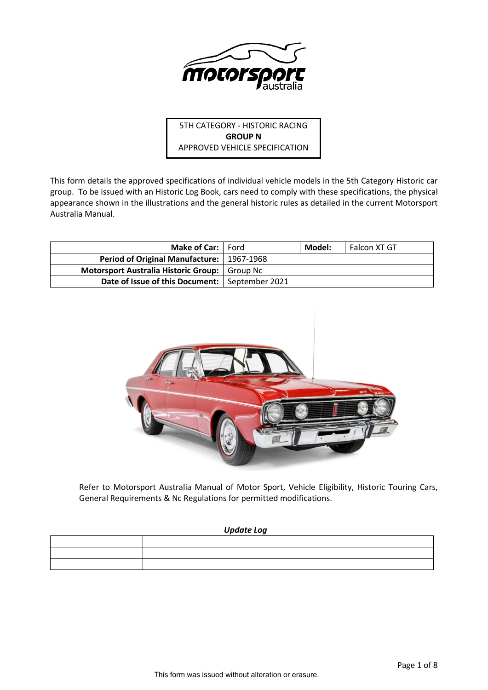

5TH CATEGORY - HISTORIC RACING **GROUP N** APPROVED VEHICLE SPECIFICATION

This form details the approved specifications of individual vehicle models in the 5th Category Historic car group. To be issued with an Historic Log Book, cars need to comply with these specifications, the physical appearance shown in the illustrations and the general historic rules as detailed in the current Motorsport Australia Manual.

| <b>Make of Car:</b>   Ford                       | Model: | Falcon XT GT |
|--------------------------------------------------|--------|--------------|
| Period of Original Manufacture:   1967-1968      |        |              |
| Motorsport Australia Historic Group:   Group Nc  |        |              |
| Date of Issue of this Document:   September 2021 |        |              |



Refer to Motorsport Australia Manual of Motor Sport, Vehicle Eligibility, Historic Touring Cars, General Requirements & Nc Regulations for permitted modifications.

# *Update Log*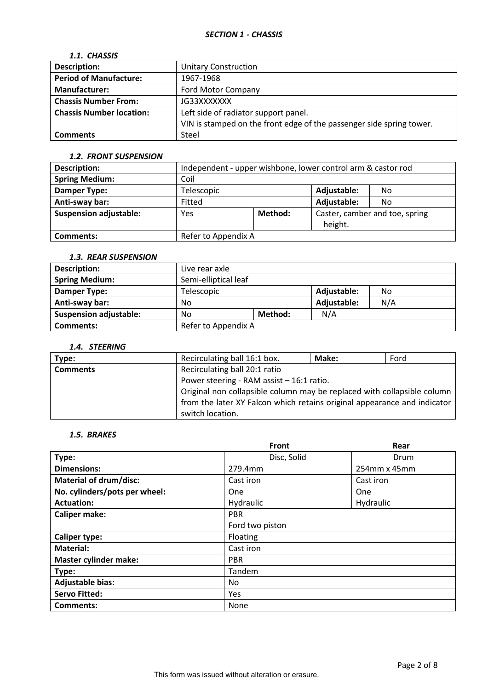# *1.1. CHASSIS*

| <b>Description:</b>             | <b>Unitary Construction</b>                                          |
|---------------------------------|----------------------------------------------------------------------|
| <b>Period of Manufacture:</b>   | 1967-1968                                                            |
| <b>Manufacturer:</b>            | Ford Motor Company                                                   |
| <b>Chassis Number From:</b>     | JG33XXXXXXX                                                          |
| <b>Chassis Number location:</b> | Left side of radiator support panel.                                 |
|                                 | VIN is stamped on the front edge of the passenger side spring tower. |
| <b>Comments</b>                 | Steel                                                                |

### *1.2. FRONT SUSPENSION*

| <b>Description:</b>           | Independent - upper wishbone, lower control arm & castor rod |                   |             |    |  |
|-------------------------------|--------------------------------------------------------------|-------------------|-------------|----|--|
| <b>Spring Medium:</b>         | Coil                                                         |                   |             |    |  |
| Damper Type:                  | Telescopic                                                   | Adjustable:<br>No |             |    |  |
| Anti-sway bar:                | Fitted                                                       |                   | Adjustable: | No |  |
| <b>Suspension adjustable:</b> | Caster, camber and toe, spring<br>Method:<br>Yes<br>height.  |                   |             |    |  |
| Comments:                     | Refer to Appendix A                                          |                   |             |    |  |

# *1.3. REAR SUSPENSION*

| Description:                  | Live rear axle       |         |             |     |  |  |
|-------------------------------|----------------------|---------|-------------|-----|--|--|
| <b>Spring Medium:</b>         | Semi-elliptical leaf |         |             |     |  |  |
| Damper Type:                  | Telescopic           |         | Adjustable: | No. |  |  |
| Anti-sway bar:                | No                   |         | Adjustable: | N/A |  |  |
| <b>Suspension adjustable:</b> | No                   | Method: | N/A         |     |  |  |
| <b>Comments:</b>              | Refer to Appendix A  |         |             |     |  |  |

# *1.4. STEERING*

| Type:           | Recirculating ball 16:1 box.                                             | Make: | Ford |  |  |
|-----------------|--------------------------------------------------------------------------|-------|------|--|--|
| <b>Comments</b> | Recirculating ball 20:1 ratio                                            |       |      |  |  |
|                 | Power steering - RAM assist - 16:1 ratio.                                |       |      |  |  |
|                 | Original non collapsible column may be replaced with collapsible column  |       |      |  |  |
|                 | from the later XY Falcon which retains original appearance and indicator |       |      |  |  |
|                 | switch location.                                                         |       |      |  |  |

# *1.5. BRAKES*

|                               | <b>Front</b>    | Rear         |
|-------------------------------|-----------------|--------------|
| Type:                         | Disc, Solid     | Drum         |
| <b>Dimensions:</b>            | 279.4mm         | 254mm x 45mm |
| <b>Material of drum/disc:</b> | Cast iron       | Cast iron    |
| No. cylinders/pots per wheel: | <b>One</b>      | <b>One</b>   |
| <b>Actuation:</b>             | Hydraulic       | Hydraulic    |
| <b>Caliper make:</b>          | <b>PBR</b>      |              |
|                               | Ford two piston |              |
| <b>Caliper type:</b>          | Floating        |              |
| <b>Material:</b>              | Cast iron       |              |
| <b>Master cylinder make:</b>  | <b>PBR</b>      |              |
| Type:                         | Tandem          |              |
| <b>Adjustable bias:</b>       | No              |              |
| <b>Servo Fitted:</b>          | Yes             |              |
| Comments:                     | None            |              |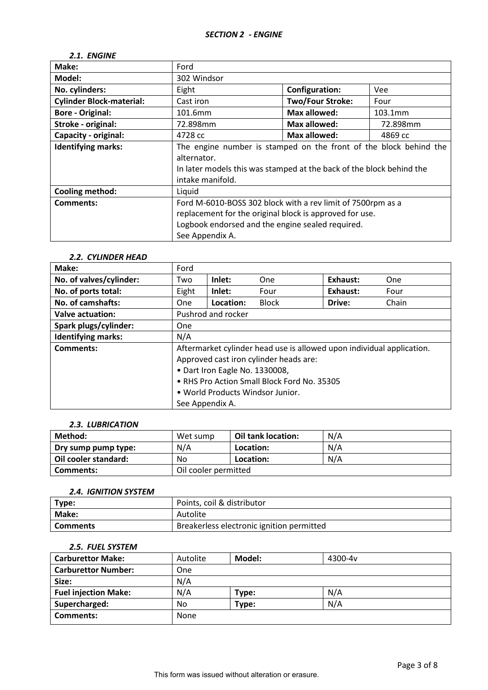### *2.1. ENGINE*

| Make:                           | Ford                                                                 |                         |          |  |  |
|---------------------------------|----------------------------------------------------------------------|-------------------------|----------|--|--|
| Model:                          | 302 Windsor                                                          |                         |          |  |  |
| No. cylinders:                  | Eight                                                                | <b>Configuration:</b>   | Vee      |  |  |
| <b>Cylinder Block-material:</b> | Cast iron                                                            | <b>Two/Four Stroke:</b> | Four     |  |  |
| <b>Bore - Original:</b>         | 101.6mm                                                              | <b>Max allowed:</b>     | 103.1mm  |  |  |
| Stroke - original:              | 72.898mm                                                             | <b>Max allowed:</b>     | 72.898mm |  |  |
| Capacity - original:            | 4728 cc                                                              | <b>Max allowed:</b>     | 4869 cc  |  |  |
| <b>Identifying marks:</b>       | The engine number is stamped on the front of the block behind the    |                         |          |  |  |
|                                 | alternator.                                                          |                         |          |  |  |
|                                 | In later models this was stamped at the back of the block behind the |                         |          |  |  |
|                                 | intake manifold.                                                     |                         |          |  |  |
| <b>Cooling method:</b>          | Liquid                                                               |                         |          |  |  |
| Comments:                       | Ford M-6010-BOSS 302 block with a rev limit of 7500rpm as a          |                         |          |  |  |
|                                 | replacement for the original block is approved for use.              |                         |          |  |  |
|                                 | Logbook endorsed and the engine sealed required.                     |                         |          |  |  |
|                                 | See Appendix A.                                                      |                         |          |  |  |

# *2.2. CYLINDER HEAD*

| Make:                     | Ford                                                                  |                                |              |          |       |
|---------------------------|-----------------------------------------------------------------------|--------------------------------|--------------|----------|-------|
| No. of valves/cylinder:   | Two                                                                   | Inlet:                         | One          | Exhaust: | One   |
| No. of ports total:       | Eight                                                                 | Inlet:                         | Four         | Exhaust: | Four  |
| No. of camshafts:         | <b>One</b>                                                            | Location:                      | <b>Block</b> | Drive:   | Chain |
| Valve actuation:          |                                                                       | Pushrod and rocker             |              |          |       |
| Spark plugs/cylinder:     | One                                                                   |                                |              |          |       |
| <b>Identifying marks:</b> | N/A                                                                   |                                |              |          |       |
| Comments:                 | Aftermarket cylinder head use is allowed upon individual application. |                                |              |          |       |
|                           | Approved cast iron cylinder heads are:                                |                                |              |          |       |
|                           |                                                                       | • Dart Iron Eagle No. 1330008, |              |          |       |
|                           | • RHS Pro Action Small Block Ford No. 35305                           |                                |              |          |       |
|                           | • World Products Windsor Junior.                                      |                                |              |          |       |
|                           | See Appendix A.                                                       |                                |              |          |       |

### *2.3. LUBRICATION*

| Method:              | Wet sump             | Oil tank location: | N/A |
|----------------------|----------------------|--------------------|-----|
| Dry sump pump type:  | N/A                  | Location:          | N/A |
| Oil cooler standard: | No                   | Location:          | N/A |
| Comments:            | Oil cooler permitted |                    |     |

### *2.4. IGNITION SYSTEM*

| Type:           | Points, coil & distributor                |
|-----------------|-------------------------------------------|
| Make:           | Autolite                                  |
| <b>Comments</b> | Breakerless electronic ignition permitted |

#### *2.5. FUEL SYSTEM*

| <b>Carburettor Make:</b>    | Autolite   | Model: | 4300-4 <sub>v</sub> |  |
|-----------------------------|------------|--------|---------------------|--|
| <b>Carburettor Number:</b>  | <b>One</b> |        |                     |  |
| Size:                       | N/A        |        |                     |  |
| <b>Fuel injection Make:</b> | N/A        | Type:  | N/A                 |  |
| Supercharged:               | No         | Type:  | N/A                 |  |
| Comments:                   | None       |        |                     |  |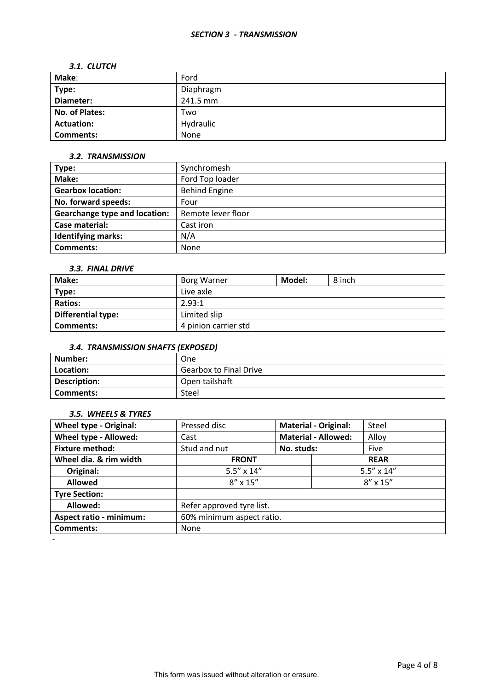#### *SECTION 3 - TRANSMISSION*

#### *3.1. CLUTCH*

| Make:             | Ford      |
|-------------------|-----------|
| Type:             | Diaphragm |
| Diameter:         | 241.5 mm  |
| No. of Plates:    | Two       |
| <b>Actuation:</b> | Hydraulic |
| Comments:         | None      |

### *3.2. TRANSMISSION*

| Type:                                | Synchromesh          |  |
|--------------------------------------|----------------------|--|
| Make:                                | Ford Top loader      |  |
| <b>Gearbox location:</b>             | <b>Behind Engine</b> |  |
| No. forward speeds:                  | Four                 |  |
| <b>Gearchange type and location:</b> | Remote lever floor   |  |
| Case material:                       | Cast iron            |  |
| <b>Identifying marks:</b>            | N/A                  |  |
| Comments:                            | <b>None</b>          |  |

#### *3.3. FINAL DRIVE*

| Make:                     | <b>Borg Warner</b>   | Model: | 8 inch |
|---------------------------|----------------------|--------|--------|
| Type:                     | Live axle            |        |        |
| <b>Ratios:</b>            | 2.93:1               |        |        |
| <b>Differential type:</b> | Limited slip         |        |        |
| Comments:                 | 4 pinion carrier std |        |        |

# *3.4. TRANSMISSION SHAFTS (EXPOSED)*

| Number:      | One                           |
|--------------|-------------------------------|
| Location:    | <b>Gearbox to Final Drive</b> |
| Description: | Open tailshaft                |
| Comments:    | Steel                         |

### *3.5. WHEELS & TYRES*

-

| <b>Wheel type - Original:</b>  | Pressed disc              | <b>Material - Original:</b> |                   | Steel       |
|--------------------------------|---------------------------|-----------------------------|-------------------|-------------|
| Wheel type - Allowed:          | Cast                      | <b>Material - Allowed:</b>  |                   | Alloy       |
| <b>Fixture method:</b>         | Stud and nut              | No. studs:                  |                   | Five        |
| Wheel dia. & rim width         | <b>FRONT</b>              |                             |                   | <b>REAR</b> |
| Original:                      | $5.5'' \times 14''$       | $5.5'' \times 14''$         |                   |             |
| <b>Allowed</b>                 | $8'' \times 15''$         |                             | $8'' \times 15''$ |             |
| <b>Tyre Section:</b>           |                           |                             |                   |             |
| Allowed:                       | Refer approved tyre list. |                             |                   |             |
| <b>Aspect ratio - minimum:</b> | 60% minimum aspect ratio. |                             |                   |             |
| <b>Comments:</b>               | None                      |                             |                   |             |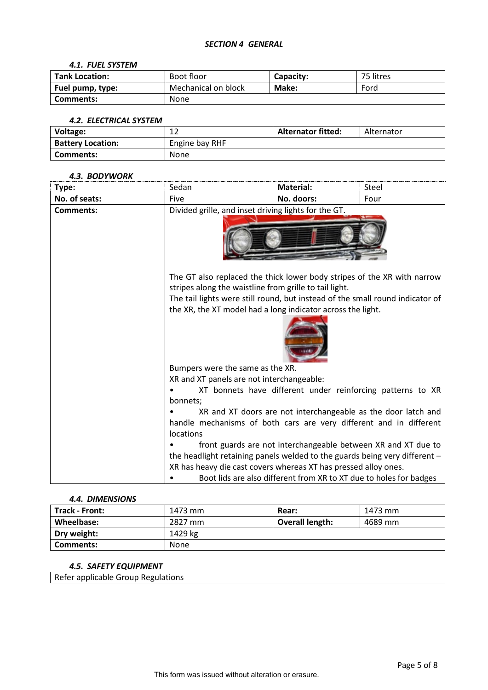### *SECTION 4 GENERAL*

#### *4.1. FUEL SYSTEM*

| <b>Tank Location:</b> | Boot floor          | Capacity: | 75 litres |
|-----------------------|---------------------|-----------|-----------|
| Fuel pump, type:      | Mechanical on block | Make:     | Ford      |
| Comments:             | None                |           |           |

#### *4.2. ELECTRICAL SYSTEM*

| Voltage:                 | ∸∸             | <b>Alternator fitted:</b> | Alternator |
|--------------------------|----------------|---------------------------|------------|
| <b>Battery Location:</b> | Engine bay RHF |                           |            |
| Comments:                | <b>None</b>    |                           |            |

#### *4.3. BODYWORK*

| Type:            | Sedan                                                                      | <b>Material:</b>                                                                                                                                                                                                                                                                  | Steel |  |
|------------------|----------------------------------------------------------------------------|-----------------------------------------------------------------------------------------------------------------------------------------------------------------------------------------------------------------------------------------------------------------------------------|-------|--|
| No. of seats:    | Five                                                                       | No. doors:                                                                                                                                                                                                                                                                        | Four  |  |
| <b>Comments:</b> |                                                                            | Divided grille, and inset driving lights for the GT.                                                                                                                                                                                                                              |       |  |
|                  |                                                                            | The GT also replaced the thick lower body stripes of the XR with narrow<br>stripes along the waistline from grille to tail light.<br>The tail lights were still round, but instead of the small round indicator of<br>the XR, the XT model had a long indicator across the light. |       |  |
|                  |                                                                            | Bumpers were the same as the XR.                                                                                                                                                                                                                                                  |       |  |
|                  | XR and XT panels are not interchangeable:                                  |                                                                                                                                                                                                                                                                                   |       |  |
|                  |                                                                            | XT bonnets have different under reinforcing patterns to XR                                                                                                                                                                                                                        |       |  |
|                  | bonnets;                                                                   |                                                                                                                                                                                                                                                                                   |       |  |
|                  | locations                                                                  | XR and XT doors are not interchangeable as the door latch and<br>handle mechanisms of both cars are very different and in different                                                                                                                                               |       |  |
|                  | front guards are not interchangeable between XR and XT due to              |                                                                                                                                                                                                                                                                                   |       |  |
|                  | the headlight retaining panels welded to the guards being very different - |                                                                                                                                                                                                                                                                                   |       |  |
|                  |                                                                            | XR has heavy die cast covers whereas XT has pressed alloy ones.                                                                                                                                                                                                                   |       |  |
|                  |                                                                            | Boot lids are also different from XR to XT due to holes for badges                                                                                                                                                                                                                |       |  |

### *4.4. DIMENSIONS*

| <b>Track - Front:</b> | 1473 mm | Rear:                  | 1473 mm |
|-----------------------|---------|------------------------|---------|
| Wheelbase:            | 2827 mm | <b>Overall length:</b> | 4689 mm |
| Dry weight:           | 1429 kg |                        |         |
| Comments:             | None    |                        |         |

# *4.5. SAFETY EQUIPMENT*

Refer applicable Group Regulations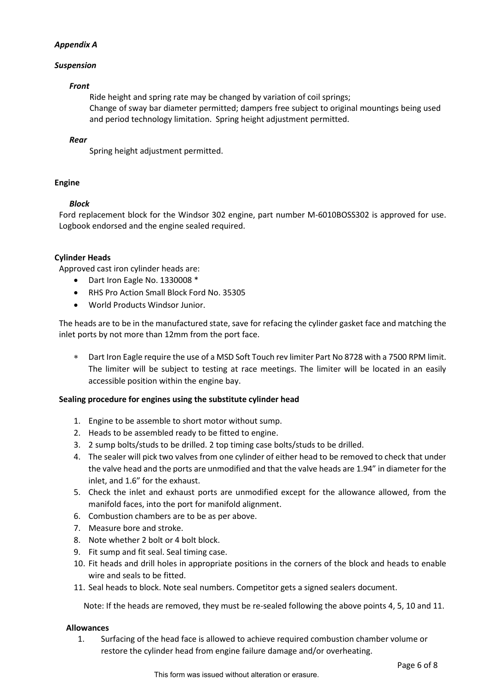# *Appendix A*

# *Suspension*

### *Front*

Ride height and spring rate may be changed by variation of coil springs; Change of sway bar diameter permitted; dampers free subject to original mountings being used and period technology limitation. Spring height adjustment permitted.

### *Rear*

Spring height adjustment permitted.

### **Engine**

# *Block*

Ford replacement block for the Windsor 302 engine, part number M-6010BOSS302 is approved for use. Logbook endorsed and the engine sealed required.

### **Cylinder Heads**

Approved cast iron cylinder heads are:

- Dart Iron Eagle No. 1330008 \*
- RHS Pro Action Small Block Ford No. 35305
- World Products Windsor Junior.

The heads are to be in the manufactured state, save for refacing the cylinder gasket face and matching the inlet ports by not more than 12mm from the port face.

∗ Dart Iron Eagle require the use of a MSD Soft Touch rev limiter Part No 8728 with a 7500 RPM limit. The limiter will be subject to testing at race meetings. The limiter will be located in an easily accessible position within the engine bay.

# **Sealing procedure for engines using the substitute cylinder head**

- 1. Engine to be assemble to short motor without sump.
- 2. Heads to be assembled ready to be fitted to engine.
- 3. 2 sump bolts/studs to be drilled. 2 top timing case bolts/studs to be drilled.
- 4. The sealer will pick two valves from one cylinder of either head to be removed to check that under the valve head and the ports are unmodified and that the valve heads are 1.94" in diameter for the inlet, and 1.6" for the exhaust.
- 5. Check the inlet and exhaust ports are unmodified except for the allowance allowed, from the manifold faces, into the port for manifold alignment.
- 6. Combustion chambers are to be as per above.
- 7. Measure bore and stroke.
- 8. Note whether 2 bolt or 4 bolt block.
- 9. Fit sump and fit seal. Seal timing case.
- 10. Fit heads and drill holes in appropriate positions in the corners of the block and heads to enable wire and seals to be fitted.
- 11. Seal heads to block. Note seal numbers. Competitor gets a signed sealers document.

Note: If the heads are removed, they must be re-sealed following the above points 4, 5, 10 and 11.

### **Allowances**

1. Surfacing of the head face is allowed to achieve required combustion chamber volume or restore the cylinder head from engine failure damage and/or overheating.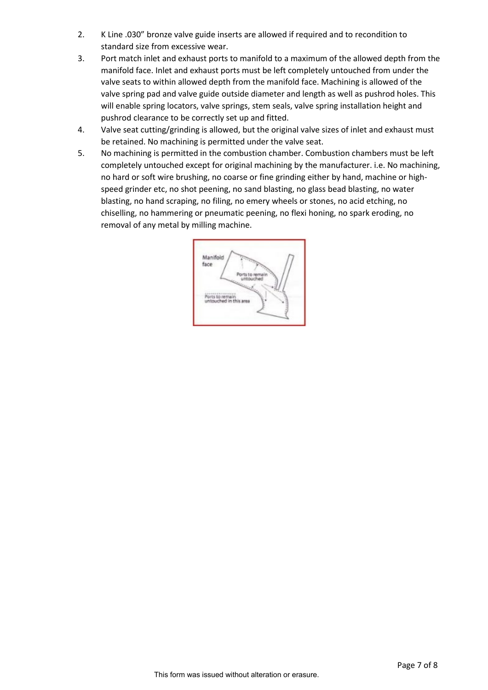- 2. K Line .030" bronze valve guide inserts are allowed if required and to recondition to standard size from excessive wear.
- 3. Port match inlet and exhaust ports to manifold to a maximum of the allowed depth from the manifold face. Inlet and exhaust ports must be left completely untouched from under the valve seats to within allowed depth from the manifold face. Machining is allowed of the valve spring pad and valve guide outside diameter and length as well as pushrod holes. This will enable spring locators, valve springs, stem seals, valve spring installation height and pushrod clearance to be correctly set up and fitted.
- 4. Valve seat cutting/grinding is allowed, but the original valve sizes of inlet and exhaust must be retained. No machining is permitted under the valve seat.
- 5. No machining is permitted in the combustion chamber. Combustion chambers must be left completely untouched except for original machining by the manufacturer. i.e. No machining, no hard or soft wire brushing, no coarse or fine grinding either by hand, machine or highspeed grinder etc, no shot peening, no sand blasting, no glass bead blasting, no water blasting, no hand scraping, no filing, no emery wheels or stones, no acid etching, no chiselling, no hammering or pneumatic peening, no flexi honing, no spark eroding, no removal of any metal by milling machine.